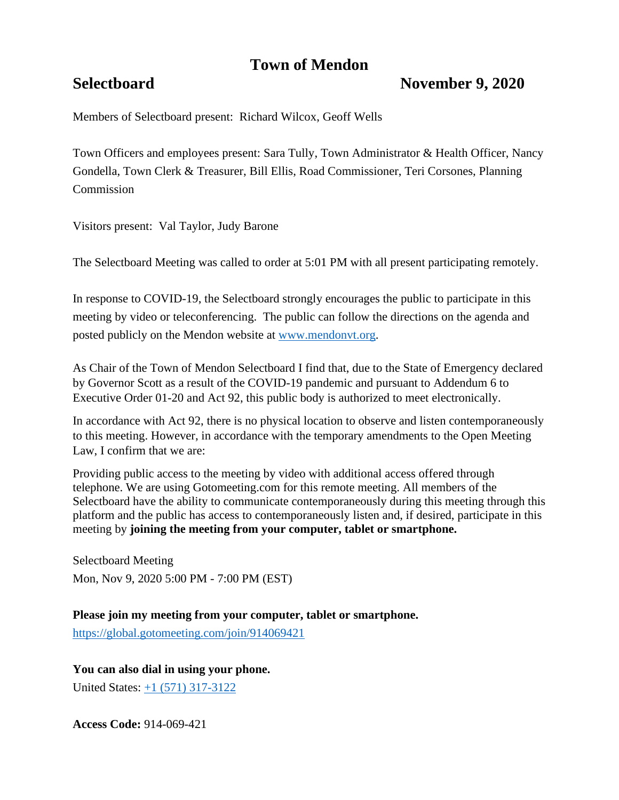# **Town of Mendon**

## **Selectboard November 9, 2020**

Members of Selectboard present: Richard Wilcox, Geoff Wells

Town Officers and employees present: Sara Tully, Town Administrator & Health Officer, Nancy Gondella, Town Clerk & Treasurer, Bill Ellis, Road Commissioner, Teri Corsones, Planning **Commission** 

Visitors present: Val Taylor, Judy Barone

The Selectboard Meeting was called to order at 5:01 PM with all present participating remotely.

In response to COVID-19, the Selectboard strongly encourages the public to participate in this meeting by video or teleconferencing. The public can follow the directions on the agenda and posted publicly on the Mendon website at [www.mendonvt.org.](http://www.mendonvt.org/)

As Chair of the Town of Mendon Selectboard I find that, due to the State of Emergency declared by Governor Scott as a result of the COVID-19 pandemic and pursuant to Addendum 6 to Executive Order 01-20 and Act 92, this public body is authorized to meet electronically.

In accordance with Act 92, there is no physical location to observe and listen contemporaneously to this meeting. However, in accordance with the temporary amendments to the Open Meeting Law, I confirm that we are:

Providing public access to the meeting by video with additional access offered through telephone. We are using Gotomeeting.com for this remote meeting. All members of the Selectboard have the ability to communicate contemporaneously during this meeting through this platform and the public has access to contemporaneously listen and, if desired, participate in this meeting by **joining the meeting from your computer, tablet or smartphone.** 

Selectboard Meeting Mon, Nov 9, 2020 5:00 PM - 7:00 PM (EST)

**Please join my meeting from your computer, tablet or smartphone.** 

<https://global.gotomeeting.com/join/914069421>

**You can also dial in using your phone.**

United States: [+1 \(571\) 317-3122](tel:+15713173122,,914069421)

**Access Code:** 914-069-421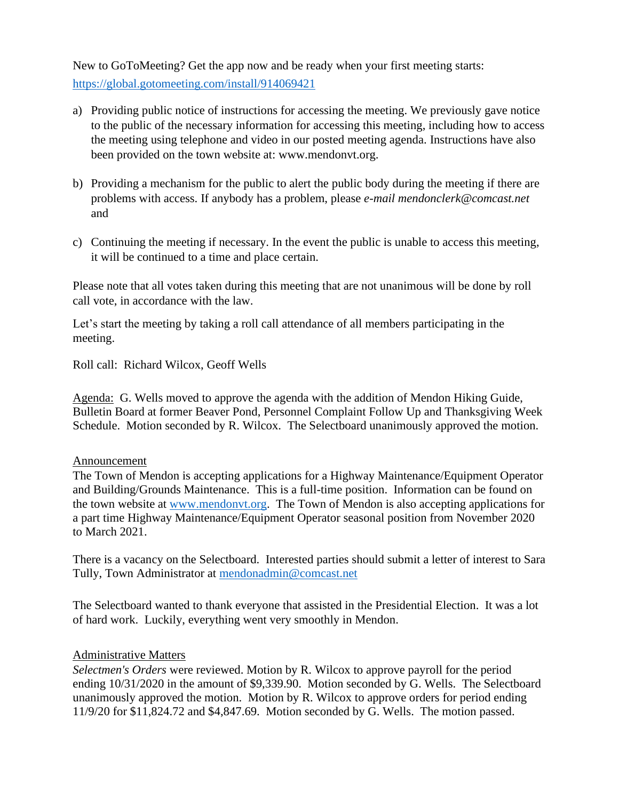New to GoToMeeting? Get the app now and be ready when your first meeting starts: <https://global.gotomeeting.com/install/914069421>

- a) Providing public notice of instructions for accessing the meeting. We previously gave notice to the public of the necessary information for accessing this meeting, including how to access the meeting using telephone and video in our posted meeting agenda. Instructions have also been provided on the town website at: www.mendonvt.org.
- b) Providing a mechanism for the public to alert the public body during the meeting if there are problems with access. If anybody has a problem, please *e-mail mendonclerk@comcast.net* and
- c) Continuing the meeting if necessary. In the event the public is unable to access this meeting, it will be continued to a time and place certain.

Please note that all votes taken during this meeting that are not unanimous will be done by roll call vote, in accordance with the law.

Let's start the meeting by taking a roll call attendance of all members participating in the meeting.

Roll call: Richard Wilcox, Geoff Wells

Agenda: G. Wells moved to approve the agenda with the addition of Mendon Hiking Guide, Bulletin Board at former Beaver Pond, Personnel Complaint Follow Up and Thanksgiving Week Schedule. Motion seconded by R. Wilcox. The Selectboard unanimously approved the motion.

#### Announcement

The Town of Mendon is accepting applications for a Highway Maintenance/Equipment Operator and Building/Grounds Maintenance. This is a full-time position. Information can be found on the town website at [www.mendonvt.org.](http://www.mendonvt.org/) The Town of Mendon is also accepting applications for a part time Highway Maintenance/Equipment Operator seasonal position from November 2020 to March 2021.

There is a vacancy on the Selectboard. Interested parties should submit a letter of interest to Sara Tully, Town Administrator at [mendonadmin@comcast.net](mailto:mendonadmin@comcast.net)

The Selectboard wanted to thank everyone that assisted in the Presidential Election. It was a lot of hard work. Luckily, everything went very smoothly in Mendon.

### Administrative Matters

*Selectmen's Orders* were reviewed. Motion by R. Wilcox to approve payroll for the period ending 10/31/2020 in the amount of \$9,339.90. Motion seconded by G. Wells. The Selectboard unanimously approved the motion. Motion by R. Wilcox to approve orders for period ending 11/9/20 for \$11,824.72 and \$4,847.69. Motion seconded by G. Wells. The motion passed.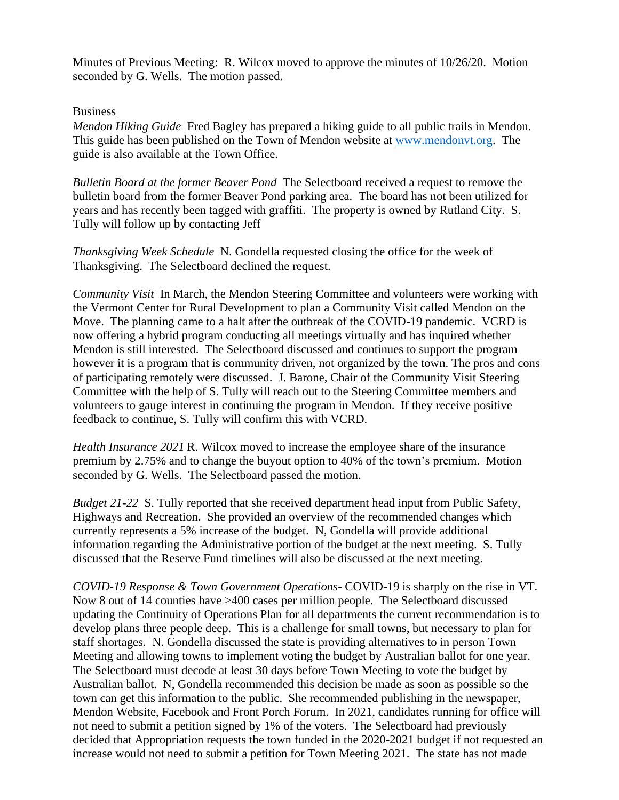Minutes of Previous Meeting: R. Wilcox moved to approve the minutes of 10/26/20. Motion seconded by G. Wells. The motion passed.

#### Business

*Mendon Hiking Guide* Fred Bagley has prepared a hiking guide to all public trails in Mendon. This guide has been published on the Town of Mendon website at [www.mendonvt.org.](http://www.mendonvt.org/) The guide is also available at the Town Office.

*Bulletin Board at the former Beaver Pond* The Selectboard received a request to remove the bulletin board from the former Beaver Pond parking area. The board has not been utilized for years and has recently been tagged with graffiti. The property is owned by Rutland City. S. Tully will follow up by contacting Jeff

*Thanksgiving Week Schedule* N. Gondella requested closing the office for the week of Thanksgiving. The Selectboard declined the request.

*Community Visit* In March, the Mendon Steering Committee and volunteers were working with the Vermont Center for Rural Development to plan a Community Visit called Mendon on the Move. The planning came to a halt after the outbreak of the COVID-19 pandemic. VCRD is now offering a hybrid program conducting all meetings virtually and has inquired whether Mendon is still interested. The Selectboard discussed and continues to support the program however it is a program that is community driven, not organized by the town. The pros and cons of participating remotely were discussed. J. Barone, Chair of the Community Visit Steering Committee with the help of S. Tully will reach out to the Steering Committee members and volunteers to gauge interest in continuing the program in Mendon. If they receive positive feedback to continue, S. Tully will confirm this with VCRD.

*Health Insurance 2021* R. Wilcox moved to increase the employee share of the insurance premium by 2.75% and to change the buyout option to 40% of the town's premium. Motion seconded by G. Wells. The Selectboard passed the motion.

*Budget 21-22* S. Tully reported that she received department head input from Public Safety, Highways and Recreation. She provided an overview of the recommended changes which currently represents a 5% increase of the budget. N, Gondella will provide additional information regarding the Administrative portion of the budget at the next meeting. S. Tully discussed that the Reserve Fund timelines will also be discussed at the next meeting.

*COVID-19 Response & Town Government Operations-* COVID-19 is sharply on the rise in VT. Now 8 out of 14 counties have >400 cases per million people. The Selectboard discussed updating the Continuity of Operations Plan for all departments the current recommendation is to develop plans three people deep. This is a challenge for small towns, but necessary to plan for staff shortages. N. Gondella discussed the state is providing alternatives to in person Town Meeting and allowing towns to implement voting the budget by Australian ballot for one year. The Selectboard must decode at least 30 days before Town Meeting to vote the budget by Australian ballot. N, Gondella recommended this decision be made as soon as possible so the town can get this information to the public. She recommended publishing in the newspaper, Mendon Website, Facebook and Front Porch Forum. In 2021, candidates running for office will not need to submit a petition signed by 1% of the voters. The Selectboard had previously decided that Appropriation requests the town funded in the 2020-2021 budget if not requested an increase would not need to submit a petition for Town Meeting 2021. The state has not made